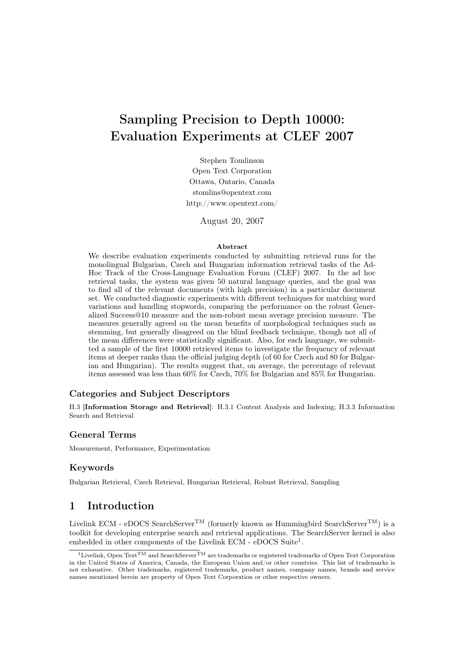# Sampling Precision to Depth 10000: Evaluation Experiments at CLEF 2007

Stephen Tomlinson Open Text Corporation Ottawa, Ontario, Canada stomlins@opentext.com http://www.opentext.com/

August 20, 2007

#### Abstract

We describe evaluation experiments conducted by submitting retrieval runs for the monolingual Bulgarian, Czech and Hungarian information retrieval tasks of the Ad-Hoc Track of the Cross-Language Evaluation Forum (CLEF) 2007. In the ad hoc retrieval tasks, the system was given 50 natural language queries, and the goal was to find all of the relevant documents (with high precision) in a particular document set. We conducted diagnostic experiments with different techniques for matching word variations and handling stopwords, comparing the performance on the robust Generalized Success@10 measure and the non-robust mean average precision measure. The measures generally agreed on the mean benefits of morphological techniques such as stemming, but generally disagreed on the blind feedback technique, though not all of the mean differences were statistically significant. Also, for each language, we submitted a sample of the first 10000 retrieved items to investigate the frequency of relevant items at deeper ranks than the official judging depth (of 60 for Czech and 80 for Bulgarian and Hungarian). The results suggest that, on average, the percentage of relevant items assessed was less than 60% for Czech, 70% for Bulgarian and 85% for Hungarian.

## Categories and Subject Descriptors

H.3 [Information Storage and Retrieval]: H.3.1 Content Analysis and Indexing; H.3.3 Information Search and Retrieval

## General Terms

Measurement, Performance, Experimentation

## Keywords

Bulgarian Retrieval, Czech Retrieval, Hungarian Retrieval, Robust Retrieval, Sampling

## 1 Introduction

Livelink ECM - eDOCS SearchServer<sup>TM</sup> (formerly known as Hummingbird SearchServer<sup>TM</sup>) is a toolkit for developing enterprise search and retrieval applications. The SearchServer kernel is also embedded in other components of the Livelink ECM - eDOCS Suite<sup>1</sup>.

 $\frac{1}{1}$ Livelink, Open Text<sup>TM</sup> and SearchServer<sup>TM</sup> are trademarks or registered trademarks of Open Text Corporation in the United States of America, Canada, the European Union and/or other countries. This list of trademarks is not exhaustive. Other trademarks, registered trademarks, product names, company names, brands and service names mentioned herein are property of Open Text Corporation or other respective owners.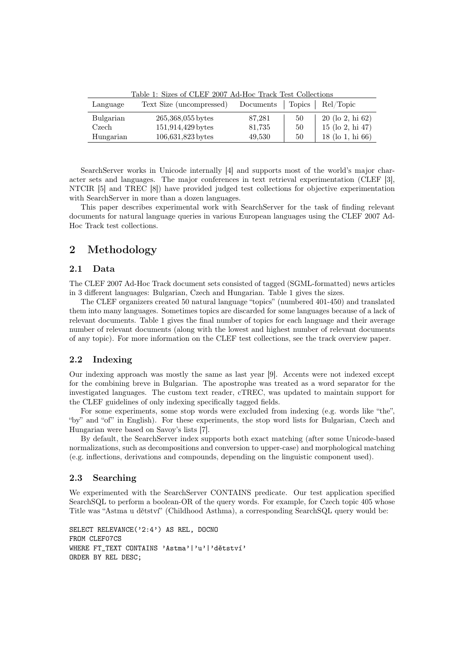| Language  | Text Size (uncompressed) | Documents Topics |    | Rel/Topic          |
|-----------|--------------------------|------------------|----|--------------------|
| Bulgarian | $265,368,055$ bytes      | 87,281           | 50 | $20$ (lo 2, hi 62) |
| Czech     | 151,914,429 bytes        | 81,735           | 50 | $15$ (lo 2, hi 47) |
| Hungarian | 106,631,823 bytes        | 49,530           | 50 | $18$ (lo 1, hi 66) |

Table 1: Sizes of CLEF 2007 Ad-Hoc Track Test Collections

SearchServer works in Unicode internally [4] and supports most of the world's major character sets and languages. The major conferences in text retrieval experimentation (CLEF [3], NTCIR [5] and TREC [8]) have provided judged test collections for objective experimentation with SearchServer in more than a dozen languages.

This paper describes experimental work with SearchServer for the task of finding relevant documents for natural language queries in various European languages using the CLEF 2007 Ad-Hoc Track test collections.

## 2 Methodology

## 2.1 Data

The CLEF 2007 Ad-Hoc Track document sets consisted of tagged (SGML-formatted) news articles in 3 different languages: Bulgarian, Czech and Hungarian. Table 1 gives the sizes.

The CLEF organizers created 50 natural language "topics" (numbered 401-450) and translated them into many languages. Sometimes topics are discarded for some languages because of a lack of relevant documents. Table 1 gives the final number of topics for each language and their average number of relevant documents (along with the lowest and highest number of relevant documents of any topic). For more information on the CLEF test collections, see the track overview paper.

## 2.2 Indexing

Our indexing approach was mostly the same as last year [9]. Accents were not indexed except for the combining breve in Bulgarian. The apostrophe was treated as a word separator for the investigated languages. The custom text reader, cTREC, was updated to maintain support for the CLEF guidelines of only indexing specifically tagged fields.

For some experiments, some stop words were excluded from indexing (e.g. words like "the", "by" and "of" in English). For these experiments, the stop word lists for Bulgarian, Czech and Hungarian were based on Savoy's lists [7].

By default, the SearchServer index supports both exact matching (after some Unicode-based normalizations, such as decompositions and conversion to upper-case) and morphological matching (e.g. inflections, derivations and compounds, depending on the linguistic component used).

## 2.3 Searching

We experimented with the SearchServer CONTAINS predicate. Our test application specified SearchSQL to perform a boolean-OR of the query words. For example, for Czech topic 405 whose Title was "Astma u dětství" (Childhood Asthma), a corresponding SearchSQL query would be:

SELECT RELEVANCE('2:4') AS REL, DOCNO FROM CLEF07CS WHERE FT\_TEXT CONTAINS 'Astma'|'u'|'dětství' ORDER BY REL DESC;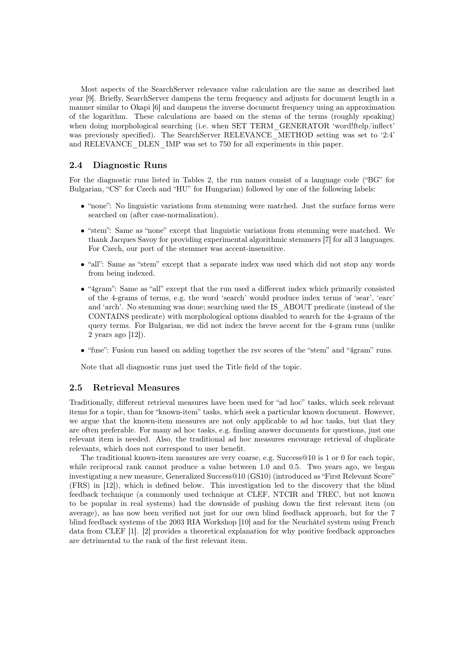Most aspects of the SearchServer relevance value calculation are the same as described last year [9]. Briefly, SearchServer dampens the term frequency and adjusts for document length in a manner similar to Okapi [6] and dampens the inverse document frequency using an approximation of the logarithm. These calculations are based on the stems of the terms (roughly speaking) when doing morphological searching (i.e. when SET TERM GENERATOR 'word!ftelp/inflect' was previously specified). The SearchServer RELEVANCE METHOD setting was set to '2:4' and RELEVANCE\_DLEN\_IMP was set to 750 for all experiments in this paper.

#### 2.4 Diagnostic Runs

For the diagnostic runs listed in Tables 2, the run names consist of a language code ("BG" for Bulgarian, "CS" for Czech and "HU" for Hungarian) followed by one of the following labels:

- "none": No linguistic variations from stemming were matched. Just the surface forms were searched on (after case-normalization).
- "stem": Same as "none" except that linguistic variations from stemming were matched. We thank Jacques Savoy for providing experimental algorithmic stemmers [7] for all 3 languages. For Czech, our port of the stemmer was accent-insensitive.
- "all": Same as "stem" except that a separate index was used which did not stop any words from being indexed.
- "4gram": Same as "all" except that the run used a different index which primarily consisted of the 4-grams of terms, e.g. the word 'search' would produce index terms of 'sear', 'earc' and 'arch'. No stemming was done; searching used the IS\_ABOUT predicate (instead of the CONTAINS predicate) with morphological options disabled to search for the 4-grams of the query terms. For Bulgarian, we did not index the breve accent for the 4-gram runs (unlike 2 years ago [12]).
- "fuse": Fusion run based on adding together the rsv scores of the "stem" and "4gram" runs.

Note that all diagnostic runs just used the Title field of the topic.

#### 2.5 Retrieval Measures

Traditionally, different retrieval measures have been used for "ad hoc" tasks, which seek relevant items for a topic, than for "known-item" tasks, which seek a particular known document. However, we argue that the known-item measures are not only applicable to ad hoc tasks, but that they are often preferable. For many ad hoc tasks, e.g. finding answer documents for questions, just one relevant item is needed. Also, the traditional ad hoc measures encourage retrieval of duplicate relevants, which does not correspond to user benefit.

The traditional known-item measures are very coarse, e.g. Success@10 is 1 or 0 for each topic, while reciprocal rank cannot produce a value between 1.0 and 0.5. Two years ago, we began investigating a new measure, Generalized Success@10 (GS10) (introduced as "First Relevant Score" (FRS) in [12]), which is defined below. This investigation led to the discovery that the blind feedback technique (a commonly used technique at CLEF, NTCIR and TREC, but not known to be popular in real systems) had the downside of pushing down the first relevant item (on average), as has now been verified not just for our own blind feedback approach, but for the 7 blind feedback systems of the 2003 RIA Workshop [10] and for the Neuchâtel system using French data from CLEF [1]. [2] provides a theoretical explanation for why positive feedback approaches are detrimental to the rank of the first relevant item.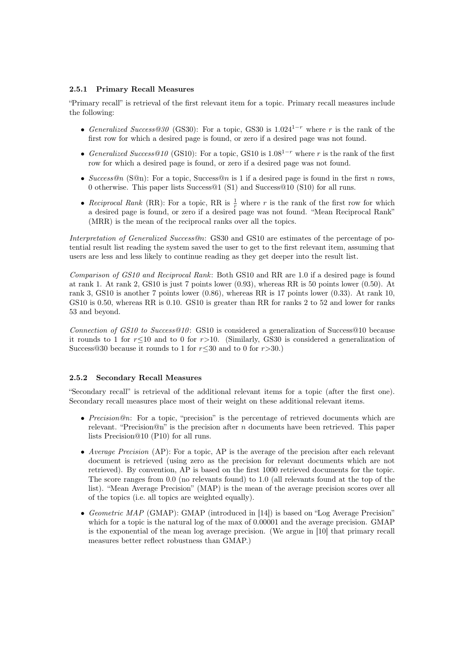#### 2.5.1 Primary Recall Measures

"Primary recall" is retrieval of the first relevant item for a topic. Primary recall measures include the following:

- Generalized Success@30 (GS30): For a topic, GS30 is  $1.024^{1-r}$  where r is the rank of the first row for which a desired page is found, or zero if a desired page was not found.
- Generalized Success@10 (GS10): For a topic, GS10 is  $1.08^{1-r}$  where r is the rank of the first row for which a desired page is found, or zero if a desired page was not found.
- Success@n (S@n): For a topic, Success@n is 1 if a desired page is found in the first n rows, 0 otherwise. This paper lists Success@1 (S1) and Success@10 (S10) for all runs.
- Reciprocal Rank (RR): For a topic, RR is  $\frac{1}{r}$  where r is the rank of the first row for which a desired page is found, or zero if a desired page was not found. "Mean Reciprocal Rank" (MRR) is the mean of the reciprocal ranks over all the topics.

Interpretation of Generalized Success@n: GS30 and GS10 are estimates of the percentage of potential result list reading the system saved the user to get to the first relevant item, assuming that users are less and less likely to continue reading as they get deeper into the result list.

Comparison of GS10 and Reciprocal Rank: Both GS10 and RR are 1.0 if a desired page is found at rank 1. At rank 2, GS10 is just 7 points lower (0.93), whereas RR is 50 points lower (0.50). At rank 3, GS10 is another 7 points lower (0.86), whereas RR is 17 points lower (0.33). At rank 10, GS10 is 0.50, whereas RR is 0.10. GS10 is greater than RR for ranks 2 to 52 and lower for ranks 53 and beyond.

Connection of GS10 to Success@10 : GS10 is considered a generalization of Success@10 because it rounds to 1 for  $r \leq 10$  and to 0 for r>10. (Similarly, GS30 is considered a generalization of Success@30 because it rounds to 1 for  $r \leq 30$  and to 0 for  $r > 30$ .)

#### 2.5.2 Secondary Recall Measures

"Secondary recall" is retrieval of the additional relevant items for a topic (after the first one). Secondary recall measures place most of their weight on these additional relevant items.

- Precision@n: For a topic, "precision" is the percentage of retrieved documents which are relevant. "Precision@n" is the precision after n documents have been retrieved. This paper lists Precision@10 (P10) for all runs.
- Average Precision (AP): For a topic, AP is the average of the precision after each relevant document is retrieved (using zero as the precision for relevant documents which are not retrieved). By convention, AP is based on the first 1000 retrieved documents for the topic. The score ranges from 0.0 (no relevants found) to 1.0 (all relevants found at the top of the list). "Mean Average Precision" (MAP) is the mean of the average precision scores over all of the topics (i.e. all topics are weighted equally).
- Geometric MAP (GMAP): GMAP (introduced in [14]) is based on "Log Average Precision" which for a topic is the natural log of the max of 0.00001 and the average precision. GMAP is the exponential of the mean log average precision. (We argue in [10] that primary recall measures better reflect robustness than GMAP.)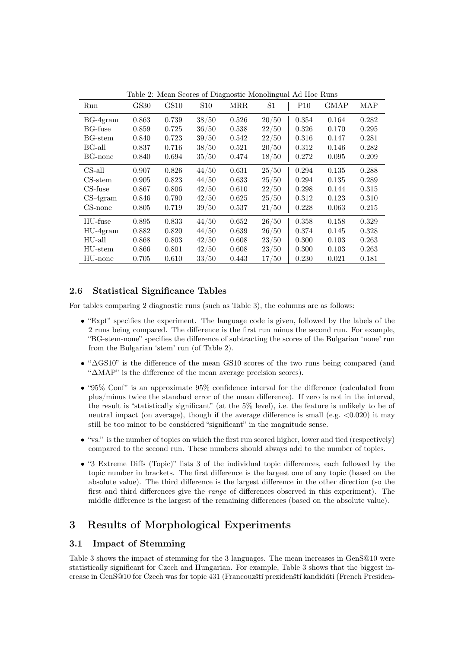| Run            | <b>GS30</b> | GS10  | <b>S10</b> | <b>MRR</b> | S <sub>1</sub> | P10   | <b>GMAP</b> | <b>MAP</b> |
|----------------|-------------|-------|------------|------------|----------------|-------|-------------|------------|
| $BG-4gram$     | 0.863       | 0.739 | 38/50      | 0.526      | 20/50          | 0.354 | 0.164       | 0.282      |
| <b>BG-fuse</b> | 0.859       | 0.725 | 36/50      | 0.538      | 22/50          | 0.326 | 0.170       | 0.295      |
| BG-stem        | 0.840       | 0.723 | 39/50      | 0.542      | 22/50          | 0.316 | 0.147       | 0.281      |
| BG-all         | 0.837       | 0.716 | 38/50      | 0.521      | 20/50          | 0.312 | 0.146       | 0.282      |
| BG-none        | 0.840       | 0.694 | 35/50      | 0.474      | 18/50          | 0.272 | 0.095       | 0.209      |
| CS-all         | 0.907       | 0.826 | 44/50      | 0.631      | 25/50          | 0.294 | 0.135       | 0.288      |
| $CS$ -stem     | 0.905       | 0.823 | 44/50      | 0.633      | 25/50          | 0.294 | 0.135       | 0.289      |
| CS-fuse        | 0.867       | 0.806 | 42/50      | 0.610      | 22/50          | 0.298 | 0.144       | 0.315      |
| $CS-4gram$     | 0.846       | 0.790 | 42/50      | 0.625      | 25/50          | 0.312 | 0.123       | 0.310      |
| $CS$ -none     | 0.805       | 0.719 | 39/50      | 0.537      | 21/50          | 0.228 | 0.063       | 0.215      |
| HU-fuse        | 0.895       | 0.833 | 44/50      | 0.652      | 26/50          | 0.358 | 0.158       | 0.329      |
| $HU-4gram$     | 0.882       | 0.820 | 44/50      | 0.639      | 26/50          | 0.374 | 0.145       | 0.328      |
| HU-all         | 0.868       | 0.803 | 42/50      | 0.608      | 23/50          | 0.300 | 0.103       | 0.263      |
| HU-stem        | 0.866       | 0.801 | 42/50      | 0.608      | 23/50          | 0.300 | 0.103       | 0.263      |
| HU-none        | 0.705       | 0.610 | 33/50      | 0.443      | 17/50          | 0.230 | 0.021       | 0.181      |

Table 2: Mean Scores of Diagnostic Monolingual Ad Hoc Runs

## 2.6 Statistical Significance Tables

For tables comparing 2 diagnostic runs (such as Table 3), the columns are as follows:

- "Expt" specifies the experiment. The language code is given, followed by the labels of the 2 runs being compared. The difference is the first run minus the second run. For example, "BG-stem-none" specifies the difference of subtracting the scores of the Bulgarian 'none' run from the Bulgarian 'stem' run (of Table 2).
- "∆GS10" is the difference of the mean GS10 scores of the two runs being compared (and "∆MAP" is the difference of the mean average precision scores).
- "95% Conf" is an approximate 95% confidence interval for the difference (calculated from plus/minus twice the standard error of the mean difference). If zero is not in the interval, the result is "statistically significant" (at the 5% level), i.e. the feature is unlikely to be of neutral impact (on average), though if the average difference is small (e.g.  $\langle 0.020 \rangle$ ) it may still be too minor to be considered "significant" in the magnitude sense.
- "vs." is the number of topics on which the first run scored higher, lower and tied (respectively) compared to the second run. These numbers should always add to the number of topics.
- "3 Extreme Diffs (Topic)" lists 3 of the individual topic differences, each followed by the topic number in brackets. The first difference is the largest one of any topic (based on the absolute value). The third difference is the largest difference in the other direction (so the first and third differences give the range of differences observed in this experiment). The middle difference is the largest of the remaining differences (based on the absolute value).

## 3 Results of Morphological Experiments

## 3.1 Impact of Stemming

Table 3 shows the impact of stemming for the 3 languages. The mean increases in GenS@10 were statistically significant for Czech and Hungarian. For example, Table 3 shows that the biggest increase in GenS@10 for Czech was for topic 431 (Francouzští prezidenští kandidáti (French Presiden-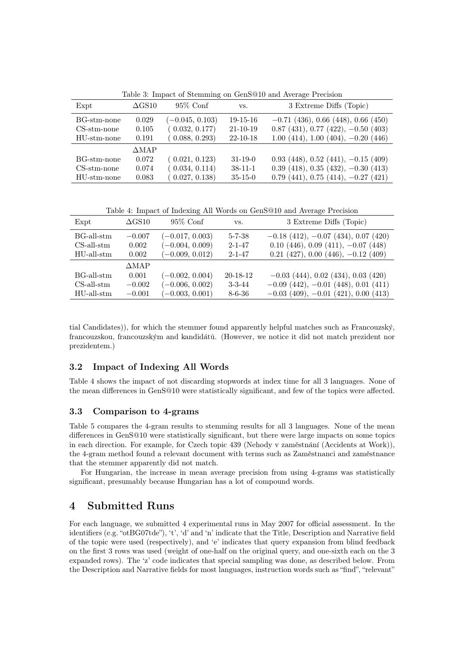| Expt                         | $\Delta$ GS10   | $95\%$ Conf                         | VS.                          | 3 Extreme Diffs (Topic)                                                          |
|------------------------------|-----------------|-------------------------------------|------------------------------|----------------------------------------------------------------------------------|
| BG-stm-none<br>$CS-stm-none$ | 0.029<br>0.105  | $(-0.045, 0.103)$<br>(0.032, 0.177) | $19-15-16$<br>$21 - 10 - 19$ | $-0.71$ (436), 0.66 (448), 0.66 (450)<br>$0.87$ (431), 0.77 (422), $-0.50$ (403) |
| HU-stm-none                  | 0.191           | (0.088, 0.293)                      | $22 - 10 - 18$               | $1.00(414), 1.00(404), -0.20(446)$                                               |
|                              | $\triangle MAP$ |                                     |                              |                                                                                  |
| BG-stm-none                  | 0.072           | (0.021, 0.123)                      | $31 - 19 - 0$                | $0.93$ (448), $0.52$ (441), $-0.15$ (409)                                        |
| $CS-stm-none$                | 0.074           | (0.034, 0.114)                      | $38 - 11 - 1$                | $0.39$ (418), $0.35$ (432), $-0.30$ (413)                                        |
| HU-stm-none                  | 0.083           | (0.027, 0.138)                      | $35 - 15 - 0$                | $0.79$ (441), $0.75$ (414), $-0.27$ (421)                                        |

Table 3: Impact of Stemming on GenS@10 and Average Precision

Table 4: Impact of Indexing All Words on GenS@10 and Average Precision

| Expt                       | $\Delta$ GS10     | $95\%$ Conf                            | VS.                          | 3 Extreme Diffs (Topic)                                                        |
|----------------------------|-------------------|----------------------------------------|------------------------------|--------------------------------------------------------------------------------|
| BG-all-stm<br>$CS-all-stm$ | $-0.007$<br>0.002 | $(-0.017, 0.003)$<br>$(-0.004, 0.009)$ | $5 - 7 - 38$<br>$2 - 1 - 47$ | $-0.18$ (412), $-0.07$ (434), 0.07 (420)<br>$0.10(446), 0.09(411), -0.07(448)$ |
| $HU$ -all- $stm$           | 0.002             | $(-0.009, 0.012)$                      | $2 - 1 - 47$                 | $0.21$ (427), $0.00$ (446), $-0.12$ (409)                                      |
|                            | $\triangle MAP$   |                                        |                              |                                                                                |
| BG-all-stm                 | 0.001             | $(-0.002, 0.004)$                      | $20-18-12$                   | $-0.03$ (444), 0.02 (434), 0.03 (420)                                          |
| $CS-all-stm$               | $-0.002$          | $(-0.006, 0.002)$                      | $3 - 3 - 44$                 | $-0.09$ (442), $-0.01$ (448), 0.01 (411)                                       |
| $HU-all-stm$               | $-0.001$          | $(-0.003, 0.001)$                      | $8 - 6 - 36$                 | $-0.03$ (409), $-0.01$ (421), 0.00 (413)                                       |

tial Candidates)), for which the stemmer found apparently helpful matches such as Francouzský, francouzskou, francouzským and kandidátů. (However, we notice it did not match prezident nor prezidentem.)

## 3.2 Impact of Indexing All Words

Table 4 shows the impact of not discarding stopwords at index time for all 3 languages. None of the mean differences in GenS@10 were statistically significant, and few of the topics were affected.

## 3.3 Comparison to 4-grams

Table 5 compares the 4-gram results to stemming results for all 3 languages. None of the mean differences in GenS@10 were statistically significant, but there were large impacts on some topics in each direction. For example, for Czech topic 439 (Nehody v zaměstnání (Accidents at Work)), the 4-gram method found a relevant document with terms such as Zaměstnanci and zaměstnance that the stemmer apparently did not match.

For Hungarian, the increase in mean average precision from using 4-grams was statistically significant, presumably because Hungarian has a lot of compound words.

## 4 Submitted Runs

For each language, we submitted 4 experimental runs in May 2007 for official assessment. In the identifiers (e.g. "otBG07tde"), 't', 'd' and 'n' indicate that the Title, Description and Narrative field of the topic were used (respectively), and 'e' indicates that query expansion from blind feedback on the first 3 rows was used (weight of one-half on the original query, and one-sixth each on the 3 expanded rows). The 'z' code indicates that special sampling was done, as described below. From the Description and Narrative fields for most languages, instruction words such as "find", "relevant"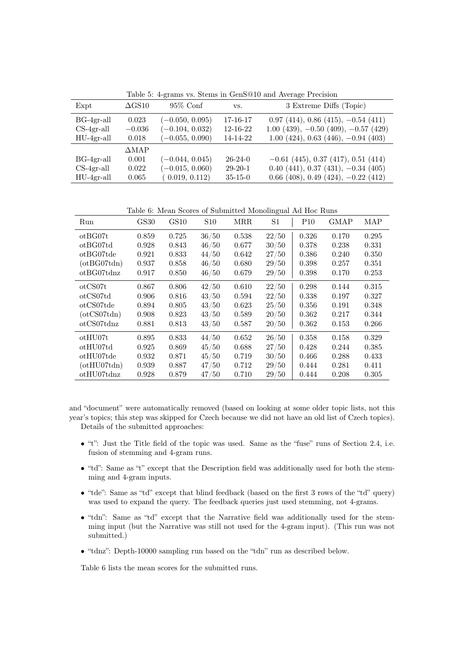Table 5: 4-grams vs. Stems in GenS@10 and Average Precision

| Expt         | $\Delta \text{GS} 10$ | $95\%$ Conf       | VS.           | 3 Extreme Diffs (Topic)                    |
|--------------|-----------------------|-------------------|---------------|--------------------------------------------|
| $BG-4gr-all$ | 0.023                 | $(-0.050, 0.095)$ | 17-16-17      | $0.97(414), 0.86(415), -0.54(411)$         |
| $CS-4gr-all$ | $-0.036$              | $(-0.104, 0.032)$ | 12-16-22      | $1.00$ (439), $-0.50$ (409), $-0.57$ (429) |
| $HU-4gr-all$ | 0.018                 | $(-0.055, 0.090)$ | 14-14-22      | $1.00$ (424), 0.63 (446), $-0.94$ (403)    |
|              | ∆МАР                  |                   |               |                                            |
| $BG-4gr-all$ | 0.001                 | $(-0.044, 0.045)$ | $26-24-0$     | $-0.61$ (445), 0.37 (417), 0.51 (414)      |
| $CS-4gr-all$ | 0.022                 | $(-0.015, 0.060)$ | $29-20-1$     | $0.40$ (441), 0.37 (431), $-0.34$ (405)    |
| $HU-4gr-all$ | 0.065                 | (0.019, 0.112)    | $35 - 15 - 0$ | $0.66$ (408), 0.49 (424), $-0.22$ (412)    |

Table 6: Mean Scores of Submitted Monolingual Ad Hoc Runs

| Run                  | <b>GS30</b> | GS10  | S <sub>10</sub> | MRR.  | $^{\rm S1}$ | P10   | <b>GMAP</b> | MAP   |
|----------------------|-------------|-------|-----------------|-------|-------------|-------|-------------|-------|
| ot BG07t             | 0.859       | 0.725 | 36/50           | 0.538 | 22/50       | 0.326 | 0.170       | 0.295 |
| ot BG07td            | 0.928       | 0.843 | 46/50           | 0.677 | 30/50       | 0.378 | 0.238       | 0.331 |
| ot BG07tde           | 0.921       | 0.833 | 44/50           | 0.642 | 27/50       | 0.386 | 0.240       | 0.350 |
| $(\text{ot}BG07tdn)$ | 0.937       | 0.858 | 46/50           | 0.680 | 29/50       | 0.398 | 0.257       | 0.351 |
| otBG07tdnz           | 0.917       | 0.850 | 46/50           | 0.679 | 29/50       | 0.398 | 0.170       | 0.253 |
| otCS07t              | 0.867       | 0.806 | 42/50           | 0.610 | 22/50       | 0.298 | 0.144       | 0.315 |
| otCS07td             | 0.906       | 0.816 | 43/50           | 0.594 | 22/50       | 0.338 | 0.197       | 0.327 |
| otCS07tde            | 0.894       | 0.805 | 43/50           | 0.623 | 25/50       | 0.356 | 0.191       | 0.348 |
| $(\text{otCS}07tdn)$ | 0.908       | 0.823 | 43/50           | 0.589 | 20/50       | 0.362 | 0.217       | 0.344 |
| otCS07tdnz           | 0.881       | 0.813 | 43/50           | 0.587 | 20/50       | 0.362 | 0.153       | 0.266 |
| ot HU07t             | 0.895       | 0.833 | 44/50           | 0.652 | 26/50       | 0.358 | 0.158       | 0.329 |
| otHU07td             | 0.925       | 0.869 | 45/50           | 0.688 | 27/50       | 0.428 | 0.244       | 0.385 |
| otHU07tde            | 0.932       | 0.871 | 45/50           | 0.719 | 30/50       | 0.466 | 0.288       | 0.433 |
| $(\text{otHU07tdn})$ | 0.939       | 0.887 | 47/50           | 0.712 | 29/50       | 0.444 | 0.281       | 0.411 |
| ot HU07tdnz          | 0.928       | 0.879 | 47/50           | 0.710 | 29/50       | 0.444 | 0.208       | 0.305 |

and "document" were automatically removed (based on looking at some older topic lists, not this year's topics; this step was skipped for Czech because we did not have an old list of Czech topics). Details of the submitted approaches:

- $\bullet$  "t": Just the Title field of the topic was used. Same as the "fuse" runs of Section 2.4, i.e. fusion of stemming and 4-gram runs.
- "td": Same as "t" except that the Description field was additionally used for both the stemming and 4-gram inputs.
- "tde": Same as "td" except that blind feedback (based on the first 3 rows of the "td" query) was used to expand the query. The feedback queries just used stemming, not 4-grams.
- "tdn": Same as "td" except that the Narrative field was additionally used for the stemming input (but the Narrative was still not used for the 4-gram input). (This run was not submitted.)
- "tdnz": Depth-10000 sampling run based on the "tdn" run as described below.

Table 6 lists the mean scores for the submitted runs.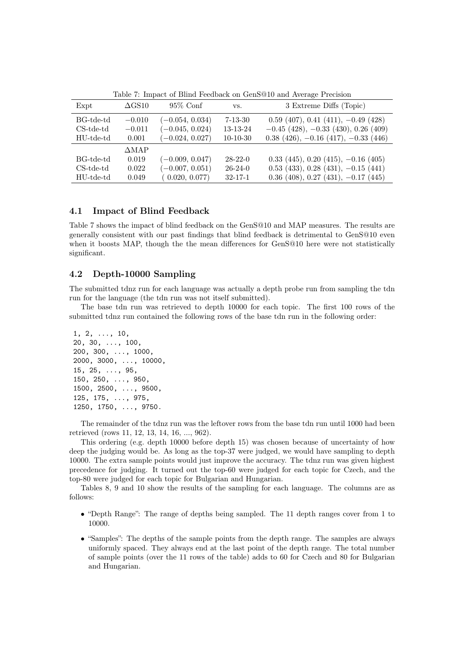| Expt         | $\Delta$ GS10   | $95\%$ Conf       | VS.           | 3 Extreme Diffs (Topic)                    |
|--------------|-----------------|-------------------|---------------|--------------------------------------------|
| BG-tde-td    | $-0.010$        | $(-0.054, 0.034)$ | $7 - 13 - 30$ | $0.59$ (407), 0.41 (411), $-0.49$ (428)    |
| $CS$ -tde-td | $-0.011$        | $(-0.045, 0.024)$ | 13-13-24      | $-0.45$ (428), $-0.33$ (430), 0.26 (409)   |
| HU-tde-td    | 0.001           | $(-0.024, 0.027)$ | $10-10-30$    | $0.38$ (426), $-0.16$ (417), $-0.33$ (446) |
|              | $\triangle MAP$ |                   |               |                                            |
| BG-tde-td    | 0.019           | $(-0.009, 0.047)$ | $28-22-0$     | $0.33$ (445), 0.20 (415), $-0.16$ (405)    |
| $CS$ -tde-td | 0.022           | $(-0.007, 0.051)$ | $26-24-0$     | $0.53$ (433), $0.28$ (431), $-0.15$ (441)  |
| HU-tde-td    | 0.049           | (0.020, 0.077)    | $32 - 17 - 1$ | $0.36$ (408), 0.27 (431), $-0.17$ (445)    |

Table 7: Impact of Blind Feedback on GenS@10 and Average Precision

## 4.1 Impact of Blind Feedback

Table 7 shows the impact of blind feedback on the GenS@10 and MAP measures. The results are generally consistent with our past findings that blind feedback is detrimental to GenS@10 even when it boosts MAP, though the the mean differences for GenS@10 here were not statistically significant.

## 4.2 Depth-10000 Sampling

The submitted tdnz run for each language was actually a depth probe run from sampling the tdn run for the language (the tdn run was not itself submitted).

The base tdn run was retrieved to depth 10000 for each topic. The first 100 rows of the submitted tdnz run contained the following rows of the base tdn run in the following order:

1, 2, ..., 10, 20, 30, ..., 100, 200, 300, ..., 1000, 2000, 3000, ..., 10000, 15, 25, ..., 95, 150, 250, ..., 950, 1500, 2500, ..., 9500, 125, 175, ..., 975, 1250, 1750, ..., 9750.

The remainder of the tdnz run was the leftover rows from the base tdn run until 1000 had been retrieved (rows 11, 12, 13, 14, 16, ..., 962).

This ordering (e.g. depth 10000 before depth 15) was chosen because of uncertainty of how deep the judging would be. As long as the top-37 were judged, we would have sampling to depth 10000. The extra sample points would just improve the accuracy. The tdnz run was given highest precedence for judging. It turned out the top-60 were judged for each topic for Czech, and the top-80 were judged for each topic for Bulgarian and Hungarian.

Tables 8, 9 and 10 show the results of the sampling for each language. The columns are as follows:

- "Depth Range": The range of depths being sampled. The 11 depth ranges cover from 1 to 10000.
- "Samples": The depths of the sample points from the depth range. The samples are always uniformly spaced. They always end at the last point of the depth range. The total number of sample points (over the 11 rows of the table) adds to 60 for Czech and 80 for Bulgarian and Hungarian.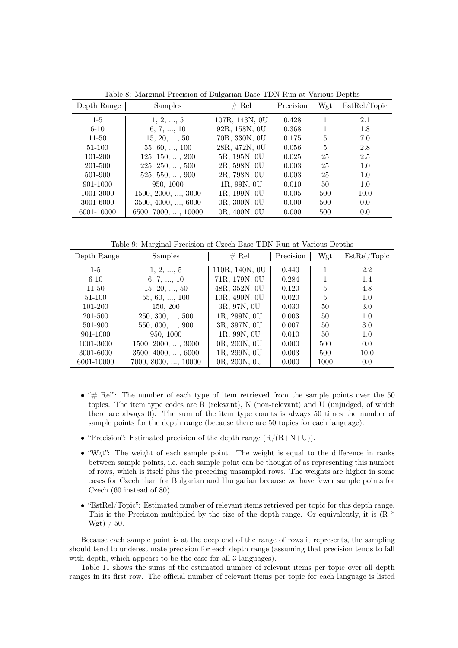| Depth Range | Samples                     | $#$ Rel        | Precision | Wgt | EstRel/Topic |
|-------------|-----------------------------|----------------|-----------|-----|--------------|
| $1-5$       | 1, 2, , 5                   | 107R, 143N, 0U | 0.428     |     | 2.1          |
| $6 - 10$    | 6, 7, , 10                  | 92R, 158N, 0U  | 0.368     |     | 1.8          |
| $11 - 50$   | 15, 20, , 50                | 70R, 330N, 0U  | 0.175     | 5   | 7.0          |
| 51-100      | $55, 60, \ldots, 100$       | 28R, 472N, 0U  | 0.056     | 5   | 2.8          |
| 101-200     | 125, 150, , 200             | 5R, 195N, 0U   | 0.025     | 25  | 2.5          |
| 201-500     | $225, 250, \ldots, 500$     | 2R, 598N, 0U   | 0.003     | 25  | 1.0          |
| 501-900     | $525, 550, \ldots, 900$     | 2R, 798N, 0U   | 0.003     | 25  | 1.0          |
| 901-1000    | 950, 1000                   | 1R, 99N, 0U    | 0.010     | 50  | 1.0          |
| 1001-3000   | $1500, 2000, \ldots, 3000$  | 1R, 199N, 0U   | 0.005     | 500 | 10.0         |
| 3001-6000   | $3500, 4000, \ldots, 6000$  | 0R, 300N, 0U   | 0.000     | 500 | 0.0          |
| 6001-10000  | $6500, 7000, \ldots, 10000$ | 0R, 400N, 0U   | 0.000     | 500 | 0.0          |

Table 8: Marginal Precision of Bulgarian Base-TDN Run at Various Depths

Table 9: Marginal Precision of Czech Base-TDN Run at Various Depths

| Depth Range | <b>Samples</b>             | # Rel          | Precision | Wgt  | EstRel/Topic |
|-------------|----------------------------|----------------|-----------|------|--------------|
| $1-5$       | 1, 2, , 5                  | 110R, 140N, 0U | 0.440     |      | 2.2          |
| $6-10$      | 6, 7, , 10                 | 71R, 179N, 0U  | 0.284     |      | 1.4          |
| $11 - 50$   | 15, 20, , 50               | 48R, 352N, 0U  | 0.120     | 5    | 4.8          |
| 51-100      | $55, 60, \ldots, 100$      | 10R, 490N, 0U  | 0.020     | 5    | 1.0          |
| 101-200     | 150, 200                   | 3R, 97N, 0U    | 0.030     | 50   | 3.0          |
| 201-500     | $250, 300, \ldots, 500$    | 1R, 299N, 0U   | 0.003     | 50   | 1.0          |
| 501-900     | 550, 600, , 900            | 3R, 397N, 0U   | 0.007     | 50   | 3.0          |
| 901-1000    | 950, 1000                  | 1R, 99N, 0U    | 0.010     | 50   | 1.0          |
| 1001-3000   | $1500, 2000, \ldots, 3000$ | 0R, 200N, 0U   | 0.000     | 500  | 0.0          |
| 3001-6000   | $3500, 4000, \ldots, 6000$ | 1R, 299N, 0U   | 0.003     | 500  | 10.0         |
| 6001-10000  | 7000, 8000, , 10000        | 0R, 200N, 0U   | 0.000     | 1000 | 0.0          |

- "# Rel": The number of each type of item retrieved from the sample points over the 50 topics. The item type codes are R (relevant), N (non-relevant) and U (unjudged, of which there are always 0). The sum of the item type counts is always 50 times the number of sample points for the depth range (because there are 50 topics for each language).
- "Precision": Estimated precision of the depth range  $(R/(R+N+U))$ .
- $\bullet$  "Wgt": The weight of each sample point. The weight is equal to the difference in ranks between sample points, i.e. each sample point can be thought of as representing this number of rows, which is itself plus the preceding unsampled rows. The weights are higher in some cases for Czech than for Bulgarian and Hungarian because we have fewer sample points for Czech (60 instead of 80).
- "EstRel/Topic": Estimated number of relevant items retrieved per topic for this depth range. This is the Precision multiplied by the size of the depth range. Or equivalently, it is  $(R^*$ Wgt) / 50.

Because each sample point is at the deep end of the range of rows it represents, the sampling should tend to underestimate precision for each depth range (assuming that precision tends to fall with depth, which appears to be the case for all 3 languages).

Table 11 shows the sums of the estimated number of relevant items per topic over all depth ranges in its first row. The official number of relevant items per topic for each language is listed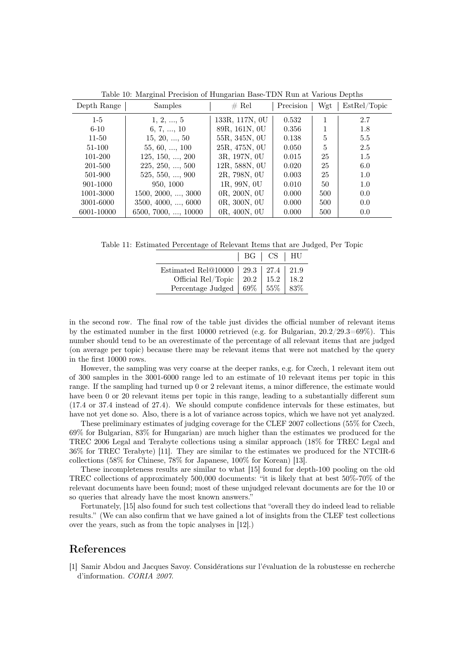| Depth Range | <b>Samples</b>             | # Rel          | Precision | Wgt | EstRel/Topic  |
|-------------|----------------------------|----------------|-----------|-----|---------------|
| $1-5$       | 1, 2, , 5                  | 133R, 117N, 0U | 0.532     | 1   | 2.7           |
| $6-10$      | 6, 7, , 10                 | 89R, 161N, 0U  | 0.356     |     | 1.8           |
| $11 - 50$   | 15, 20, , 50               | 55R, 345N, 0U  | 0.138     | 5   | 5.5           |
| 51-100      | $55, 60, \ldots, 100$      | 25R, 475N, 0U  | 0.050     | 5   | 2.5           |
| 101-200     | 125, 150, , 200            | 3R, 197N, 0U   | 0.015     | 25  | 1.5           |
| 201-500     | $225, 250, \ldots, 500$    | 12R, 588N, 0U  | 0.020     | 25  | 6.0           |
| 501-900     | $525, 550, \ldots, 900$    | 2R, 798N, 0U   | 0.003     | 25  | 1.0           |
| 901-1000    | 950, 1000                  | 1R, 99N, 0U    | 0.010     | 50  | 1.0           |
| 1001-3000   | $1500, 2000, \ldots, 3000$ | 0R, 200N, 0U   | 0.000     | 500 | 0.0           |
| 3001-6000   | $3500, 4000, \ldots, 6000$ | 0R, 300N, 0U   | 0.000     | 500 | $0.0^{\circ}$ |
| 6001-10000  | 6500, 7000, , 10000        | 0R, 400N, 0U   | 0.000     | 500 | 0.0           |

Table 10: Marginal Precision of Hungarian Base-TDN Run at Various Depths

Table 11: Estimated Percentage of Relevant Items that are Judged, Per Topic

|                                          | BG   CS   HU |         |
|------------------------------------------|--------------|---------|
| Estimated Rel@10000   29.3   27.4   21.9 |              |         |
| Official Rel/Topic $\vert$ 20.2 $\vert$  | 15.2         | 18.2    |
| Percentage Judged   69%   55%            |              | $ 83\%$ |

in the second row. The final row of the table just divides the official number of relevant items by the estimated number in the first 10000 retrieved (e.g. for Bulgarian, 20.2/29.3=69%). This number should tend to be an overestimate of the percentage of all relevant items that are judged (on average per topic) because there may be relevant items that were not matched by the query in the first 10000 rows.

However, the sampling was very coarse at the deeper ranks, e.g. for Czech, 1 relevant item out of 300 samples in the 3001-6000 range led to an estimate of 10 relevant items per topic in this range. If the sampling had turned up 0 or 2 relevant items, a minor difference, the estimate would have been 0 or 20 relevant items per topic in this range, leading to a substantially different sum (17.4 or 37.4 instead of 27.4). We should compute confidence intervals for these estimates, but have not yet done so. Also, there is a lot of variance across topics, which we have not yet analyzed.

These preliminary estimates of judging coverage for the CLEF 2007 collections (55% for Czech, 69% for Bulgarian, 83% for Hungarian) are much higher than the estimates we produced for the TREC 2006 Legal and Terabyte collections using a similar approach (18% for TREC Legal and 36% for TREC Terabyte) [11]. They are similar to the estimates we produced for the NTCIR-6 collections (58% for Chinese, 78% for Japanese, 100% for Korean) [13].

These incompleteness results are similar to what [15] found for depth-100 pooling on the old TREC collections of approximately 500,000 documents: "it is likely that at best 50%-70% of the relevant documents have been found; most of these unjudged relevant documents are for the 10 or so queries that already have the most known answers."

Fortunately, [15] also found for such test collections that "overall they do indeed lead to reliable results." (We can also confirm that we have gained a lot of insights from the CLEF test collections over the years, such as from the topic analyses in [12].)

## References

[1] Samir Abdou and Jacques Savoy. Consid´erations sur l'´evaluation de la robustesse en recherche d'information. CORIA 2007.